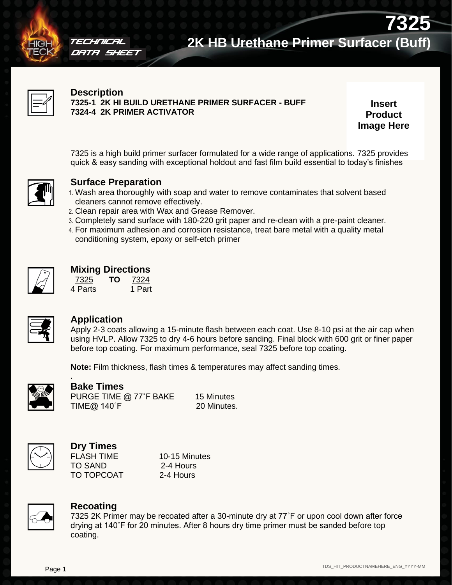

#### TECHNICAL DATA SHEET





#### **Description**

**7325-1 2K HI BUILD URETHANE PRIMER SURFACER - BUFF 7324-4 2K PRIMER ACTIVATOR**

**Insert Product Image Here**

7325 is a high build primer surfacer formulated for a wide range of applications. 7325 provides quick & easy sanding with exceptional holdout and fast film build essential to today's finishes



#### **Surface Preparation**

- 1. Wash area thoroughly with soap and water to remove contaminates that solvent based cleaners cannot remove effectively.
- 2. Clean repair area with Wax and Grease Remover.
- 3. Completely sand surface with 180-220 grit paper and re-clean with a pre-paint cleaner.
- 4. For maximum adhesion and corrosion resistance, treat bare metal with a quality metal conditioning system, epoxy or self-etch primer



#### **Mixing Directions**

 7325 **TO** 7324 4 Parts 1 Part



#### **Application**

Apply 2-3 coats allowing a 15-minute flash between each coat. Use 8-10 psi at the air cap when using HVLP. Allow 7325 to dry 4-6 hours before sanding. Final block with 600 grit or finer paper before top coating. For maximum performance, seal 7325 before top coating.

**Note:** Film thickness, flash times & temperatures may affect sanding times.



# **Bake Times**

.

PURGE TIME @ 77°F BAKE 15 Minutes  $TIME@$  140°F 20 Minutes.



# **Dry Times**

FLASH TIME 10-15 Minutes TO SAND 2-4 Hours TO TOPCOAT 2-4 Hours



#### **Recoating**

7325 2K Primer may be recoated after a 30-minute dry at 77˚F or upon cool down after force drying at 140˚F for 20 minutes. After 8 hours dry time primer must be sanded before top coating.